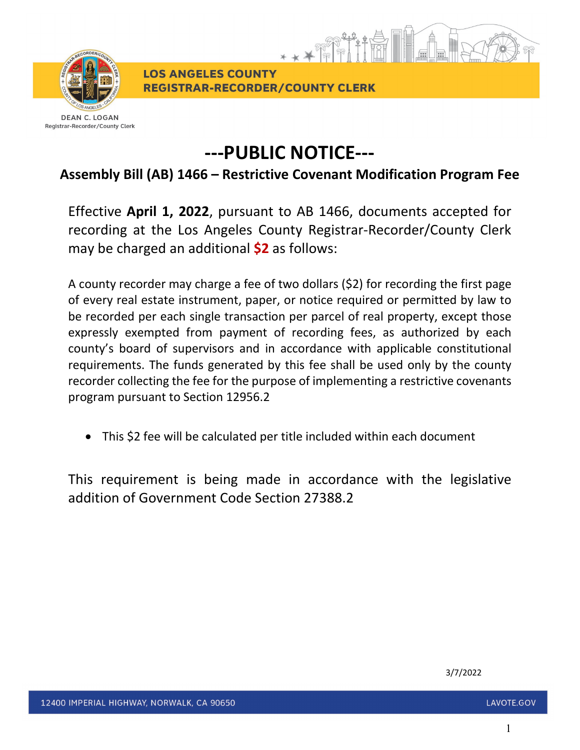

**LOS ANGELES COUNTY REGISTRAR-RECORDER/COUNTY CLERK** 

**DEAN C. LOGAN** Registrar-Recorder/County Clerk

## **---PUBLIC NOTICE---**

\* \* \* \*

## **Assembly Bill (AB) 1466 – Restrictive Covenant Modification Program Fee**

Effective **April 1, 2022**, pursuant to AB 1466, documents accepted for recording at the Los Angeles County Registrar-Recorder/County Clerk may be charged an additional **\$2** as follows:

A county recorder may charge a fee of two dollars (\$2) for recording the first page of every real estate instrument, paper, or notice required or permitted by law to be recorded per each single transaction per parcel of real property, except those expressly exempted from payment of recording fees, as authorized by each county's board of supervisors and in accordance with applicable constitutional requirements. The funds generated by this fee shall be used only by the county recorder collecting the fee for the purpose of implementing a restrictive covenants program pursuant to Section 12956.2

• This \$2 fee will be calculated per title included within each document

This requirement is being made in accordance with the legislative addition of Government Code Section 27388.2